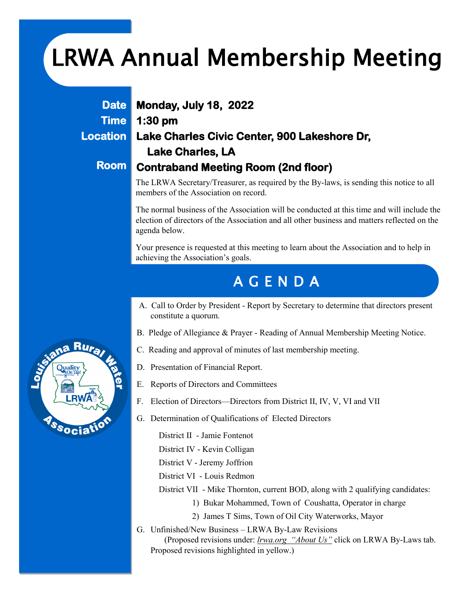# LRWA Annual Membership Meeting

**Date Time Location** 

**Room** 

### **Monday, July 18, 2022 1:30 pm Lake Charles Civic Center, 900 Lakeshore Dr, Lake Charles, LA Contraband Meeting Room (2nd floor)**

The LRWA Secretary/Treasurer, as required by the By-laws, is sending this notice to all members of the Association on record.

The normal business of the Association will be conducted at this time and will include the election of directors of the Association and all other business and matters reflected on the agenda below.

Your presence is requested at this meeting to learn about the Association and to help in achieving the Association's goals.

## A G E N D A

- A. Call to Order by President Report by Secretary to determine that directors present constitute a quorum.
- B. Pledge of Allegiance & Prayer Reading of Annual Membership Meeting Notice.
- C. Reading and approval of minutes of last membership meeting.
- D. Presentation of Financial Report.
- E. Reports of Directors and Committees
- F. Election of Directors—Directors from District II, IV, V, VI and VII
- G. Determination of Qualifications of Elected Directors

District II - Jamie Fontenot

District IV - Kevin Colligan

District V - Jeremy Joffrion

District VI - Louis Redmon

- District VII Mike Thornton, current BOD, along with 2 qualifying candidates:
	- 1) Bukar Mohammed, Town of Coushatta, Operator in charge
	- 2) James T Sims, Town of Oil City Waterworks, Mayor
- G. Unfinished/New Business LRWA By-Law Revisions (Proposed revisions under: *lrwa.org "About Us"* click on LRWA By-Laws tab. Proposed revisions highlighted in yellow.)